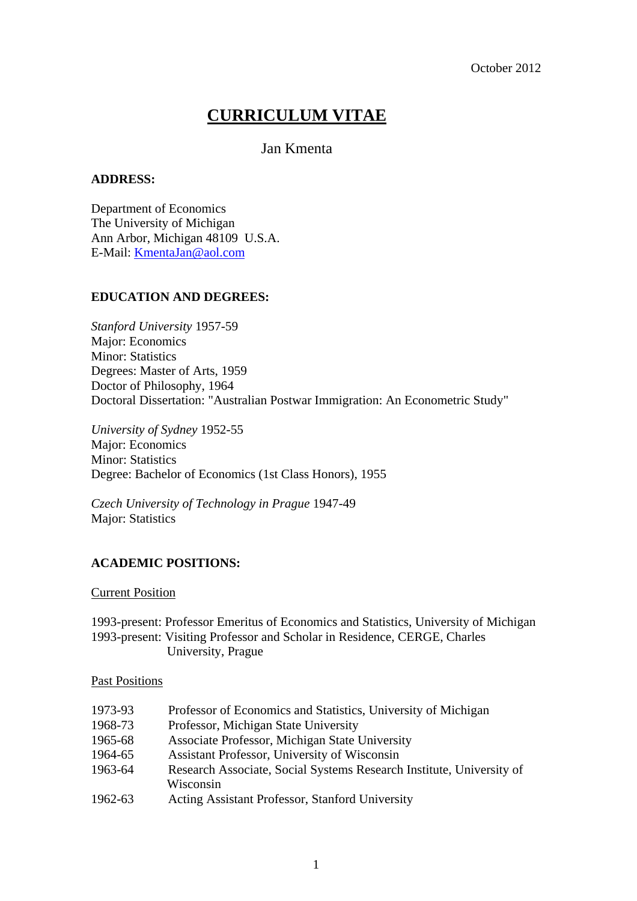# **CURRICULUM VITAE**

# Jan Kmenta

#### **ADDRESS:**

Department of Economics The University of Michigan Ann Arbor, Michigan 48109 U.S.A. E-Mail: [KmentaJan@aol.com](mailto:KmentaJan@aol.com)

# **EDUCATION AND DEGREES:**

*Stanford University* 1957-59 Major: Economics Minor: Statistics Degrees: Master of Arts, 1959 Doctor of Philosophy, 1964 Doctoral Dissertation: "Australian Postwar Immigration: An Econometric Study"

*University of Sydney* 1952-55 Major: Economics Minor: Statistics Degree: Bachelor of Economics (1st Class Honors), 1955

*Czech University of Technology in Prague* 1947-49 Major: Statistics

# **ACADEMIC POSITIONS:**

#### Current Position

1993-present: Professor Emeritus of Economics and Statistics, University of Michigan 1993-present: Visiting Professor and Scholar in Residence, CERGE, Charles University, Prague

Past Positions

| Professor of Economics and Statistics, University of Michigan        |
|----------------------------------------------------------------------|
| Professor, Michigan State University                                 |
| Associate Professor, Michigan State University                       |
| Assistant Professor, University of Wisconsin                         |
| Research Associate, Social Systems Research Institute, University of |
| Wisconsin                                                            |
| Acting Assistant Professor, Stanford University                      |
|                                                                      |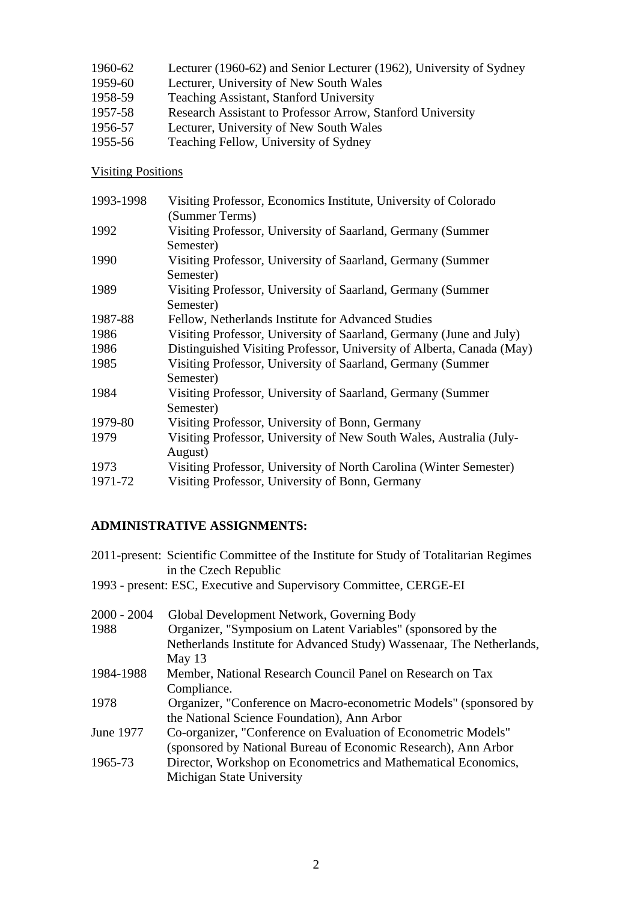| 1960-62 | Lecturer (1960-62) and Senior Lecturer (1962), University of Sydney |
|---------|---------------------------------------------------------------------|
| 1959-60 | Lecturer, University of New South Wales                             |
| 1958-59 | Teaching Assistant, Stanford University                             |
| 1957-58 | Research Assistant to Professor Arrow, Stanford University          |
| 1956-57 | Lecturer, University of New South Wales                             |
| 1955-56 | Teaching Fellow, University of Sydney                               |

# Visiting Positions

| 1993-1998 | Visiting Professor, Economics Institute, University of Colorado       |
|-----------|-----------------------------------------------------------------------|
|           | (Summer Terms)                                                        |
| 1992      | Visiting Professor, University of Saarland, Germany (Summer           |
|           | Semester)                                                             |
| 1990      | Visiting Professor, University of Saarland, Germany (Summer           |
|           | Semester)                                                             |
| 1989      | Visiting Professor, University of Saarland, Germany (Summer           |
|           | Semester)                                                             |
| 1987-88   | Fellow, Netherlands Institute for Advanced Studies                    |
| 1986      | Visiting Professor, University of Saarland, Germany (June and July)   |
| 1986      | Distinguished Visiting Professor, University of Alberta, Canada (May) |
| 1985      | Visiting Professor, University of Saarland, Germany (Summer           |
|           | Semester)                                                             |
| 1984      | Visiting Professor, University of Saarland, Germany (Summer           |
|           | Semester)                                                             |
| 1979-80   | Visiting Professor, University of Bonn, Germany                       |
| 1979      | Visiting Professor, University of New South Wales, Australia (July-   |
|           | August)                                                               |
| 1973      | Visiting Professor, University of North Carolina (Winter Semester)    |
| 1971-72   | Visiting Professor, University of Bonn, Germany                       |
|           |                                                                       |

# **ADMINISTRATIVE ASSIGNMENTS:**

| 2011-present: Scientific Committee of the Institute for Study of Totalitarian Regimes<br>in the Czech Republic |
|----------------------------------------------------------------------------------------------------------------|
| 1993 - present: ESC, Executive and Supervisory Committee, CERGE-EI                                             |
| Global Development Network, Governing Body                                                                     |
| Organizer, "Symposium on Latent Variables" (sponsored by the                                                   |
| Netherlands Institute for Advanced Study) Wassenaar, The Netherlands,                                          |
| May $13$                                                                                                       |
| Member, National Research Council Panel on Research on Tax                                                     |
| Compliance.                                                                                                    |
| Organizer, "Conference on Macro-econometric Models" (sponsored by                                              |
| the National Science Foundation), Ann Arbor                                                                    |
| Co-organizer, "Conference on Evaluation of Econometric Models"                                                 |
| (sponsored by National Bureau of Economic Research), Ann Arbor                                                 |
| Director, Workshop on Econometrics and Mathematical Economics,                                                 |
| Michigan State University                                                                                      |
|                                                                                                                |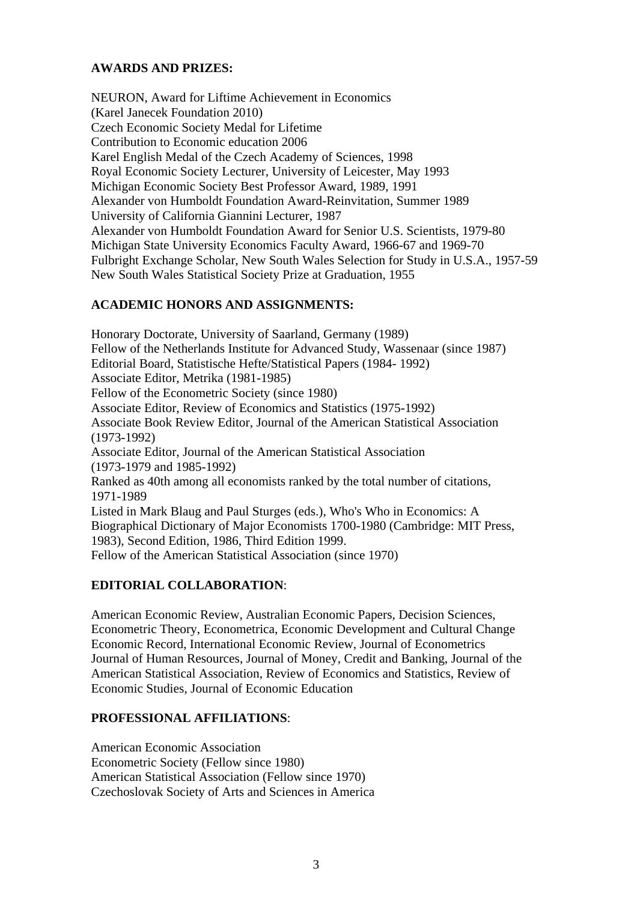# **AWARDS AND PRIZES:**

NEURON, Award for Liftime Achievement in Economics (Karel Janecek Foundation 2010) Czech Economic Society Medal for Lifetime Contribution to Economic education 2006 Karel English Medal of the Czech Academy of Sciences, 1998 Royal Economic Society Lecturer, University of Leicester, May 1993 Michigan Economic Society Best Professor Award, 1989, 1991 Alexander von Humboldt Foundation Award-Reinvitation, Summer 1989 University of California Giannini Lecturer, 1987 Alexander von Humboldt Foundation Award for Senior U.S. Scientists, 1979-80 Michigan State University Economics Faculty Award, 1966-67 and 1969-70 Fulbright Exchange Scholar, New South Wales Selection for Study in U.S.A., 1957-59 New South Wales Statistical Society Prize at Graduation, 1955

#### **ACADEMIC HONORS AND ASSIGNMENTS:**

Honorary Doctorate, University of Saarland, Germany (1989) Fellow of the Netherlands Institute for Advanced Study, Wassenaar (since 1987) Editorial Board, Statistische Hefte/Statistical Papers (1984- 1992) Associate Editor, Metrika (1981-1985) Fellow of the Econometric Society (since 1980) Associate Editor, Review of Economics and Statistics (1975-1992) Associate Book Review Editor, Journal of the American Statistical Association (1973-1992) Associate Editor, Journal of the American Statistical Association (1973-1979 and 1985-1992) Ranked as 40th among all economists ranked by the total number of citations, 1971-1989 Listed in Mark Blaug and Paul Sturges (eds.), Who's Who in Economics: A Biographical Dictionary of Major Economists 1700-1980 (Cambridge: MIT Press, 1983), Second Edition, 1986, Third Edition 1999. Fellow of the American Statistical Association (since 1970)

# **EDITORIAL COLLABORATION**:

American Economic Review, Australian Economic Papers, Decision Sciences, Econometric Theory, Econometrica, Economic Development and Cultural Change Economic Record, International Economic Review, Journal of Econometrics Journal of Human Resources, Journal of Money, Credit and Banking, Journal of the American Statistical Association, Review of Economics and Statistics, Review of Economic Studies, Journal of Economic Education

#### **PROFESSIONAL AFFILIATIONS**:

American Economic Association Econometric Society (Fellow since 1980) American Statistical Association (Fellow since 1970) Czechoslovak Society of Arts and Sciences in America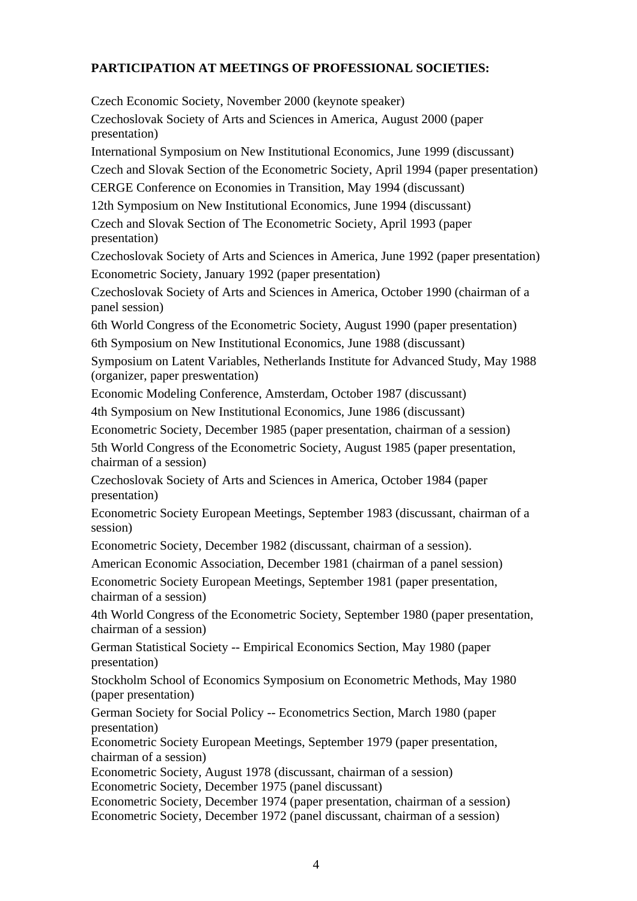# **PARTICIPATION AT MEETINGS OF PROFESSIONAL SOCIETIES:**

Czech Economic Society, November 2000 (keynote speaker) Czechoslovak Society of Arts and Sciences in America, August 2000 (paper presentation) International Symposium on New Institutional Economics, June 1999 (discussant) Czech and Slovak Section of the Econometric Society, April 1994 (paper presentation) CERGE Conference on Economies in Transition, May 1994 (discussant) 12th Symposium on New Institutional Economics, June 1994 (discussant) Czech and Slovak Section of The Econometric Society, April 1993 (paper presentation) Czechoslovak Society of Arts and Sciences in America, June 1992 (paper presentation) Econometric Society, January 1992 (paper presentation) Czechoslovak Society of Arts and Sciences in America, October 1990 (chairman of a panel session) 6th World Congress of the Econometric Society, August 1990 (paper presentation) 6th Symposium on New Institutional Economics, June 1988 (discussant) Symposium on Latent Variables, Netherlands Institute for Advanced Study, May 1988 (organizer, paper preswentation) Economic Modeling Conference, Amsterdam, October 1987 (discussant) 4th Symposium on New Institutional Economics, June 1986 (discussant) Econometric Society, December 1985 (paper presentation, chairman of a session) 5th World Congress of the Econometric Society, August 1985 (paper presentation, chairman of a session) Czechoslovak Society of Arts and Sciences in America, October 1984 (paper presentation) Econometric Society European Meetings, September 1983 (discussant, chairman of a session) Econometric Society, December 1982 (discussant, chairman of a session). American Economic Association, December 1981 (chairman of a panel session) Econometric Society European Meetings, September 1981 (paper presentation, chairman of a session) 4th World Congress of the Econometric Society, September 1980 (paper presentation, chairman of a session) German Statistical Society -- Empirical Economics Section, May 1980 (paper presentation) Stockholm School of Economics Symposium on Econometric Methods, May 1980 (paper presentation) German Society for Social Policy -- Econometrics Section, March 1980 (paper presentation) Econometric Society European Meetings, September 1979 (paper presentation, chairman of a session) Econometric Society, August 1978 (discussant, chairman of a session) Econometric Society, December 1975 (panel discussant) Econometric Society, December 1974 (paper presentation, chairman of a session) Econometric Society, December 1972 (panel discussant, chairman of a session)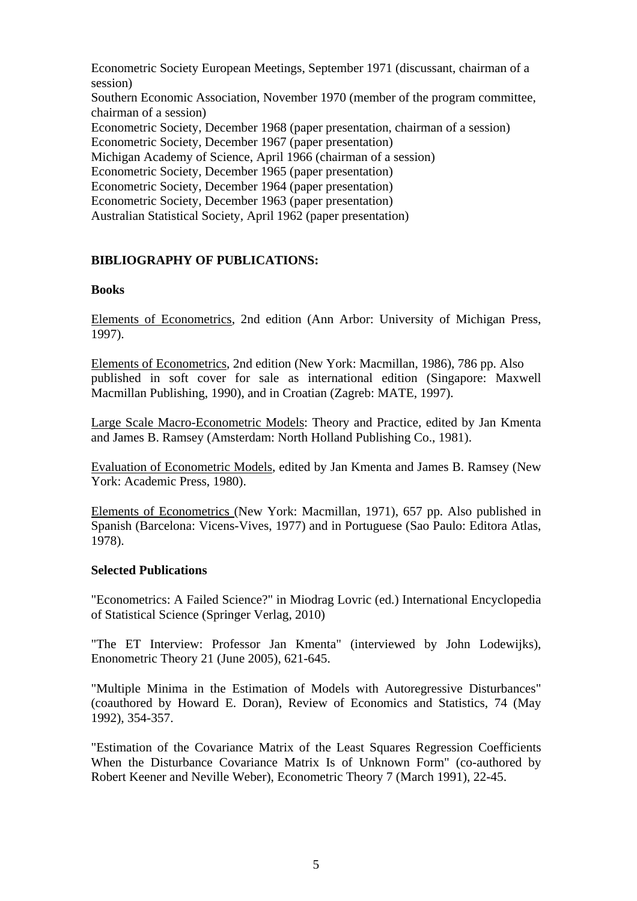Econometric Society European Meetings, September 1971 (discussant, chairman of a session) Southern Economic Association, November 1970 (member of the program committee, chairman of a session) Econometric Society, December 1968 (paper presentation, chairman of a session) Econometric Society, December 1967 (paper presentation) Michigan Academy of Science, April 1966 (chairman of a session) Econometric Society, December 1965 (paper presentation) Econometric Society, December 1964 (paper presentation) Econometric Society, December 1963 (paper presentation) Australian Statistical Society, April 1962 (paper presentation)

# **BIBLIOGRAPHY OF PUBLICATIONS:**

#### **Books**

Elements of Econometrics, 2nd edition (Ann Arbor: University of Michigan Press, 1997).

Elements of Econometrics, 2nd edition (New York: Macmillan, 1986), 786 pp. Also published in soft cover for sale as international edition (Singapore: Maxwell Macmillan Publishing, 1990), and in Croatian (Zagreb: MATE, 1997).

Large Scale Macro-Econometric Models: Theory and Practice, edited by Jan Kmenta and James B. Ramsey (Amsterdam: North Holland Publishing Co., 1981).

Evaluation of Econometric Models, edited by Jan Kmenta and James B. Ramsey (New York: Academic Press, 1980).

Elements of Econometrics (New York: Macmillan, 1971), 657 pp. Also published in Spanish (Barcelona: Vicens-Vives, 1977) and in Portuguese (Sao Paulo: Editora Atlas, 1978).

#### **Selected Publications**

"Econometrics: A Failed Science?" in Miodrag Lovric (ed.) International Encyclopedia of Statistical Science (Springer Verlag, 2010)

"The ET Interview: Professor Jan Kmenta" (interviewed by John Lodewijks), Enonometric Theory 21 (June 2005), 621-645.

"Multiple Minima in the Estimation of Models with Autoregressive Disturbances" (coauthored by Howard E. Doran), Review of Economics and Statistics, 74 (May 1992), 354-357.

"Estimation of the Covariance Matrix of the Least Squares Regression Coefficients When the Disturbance Covariance Matrix Is of Unknown Form" (co-authored by Robert Keener and Neville Weber), Econometric Theory 7 (March 1991), 22-45.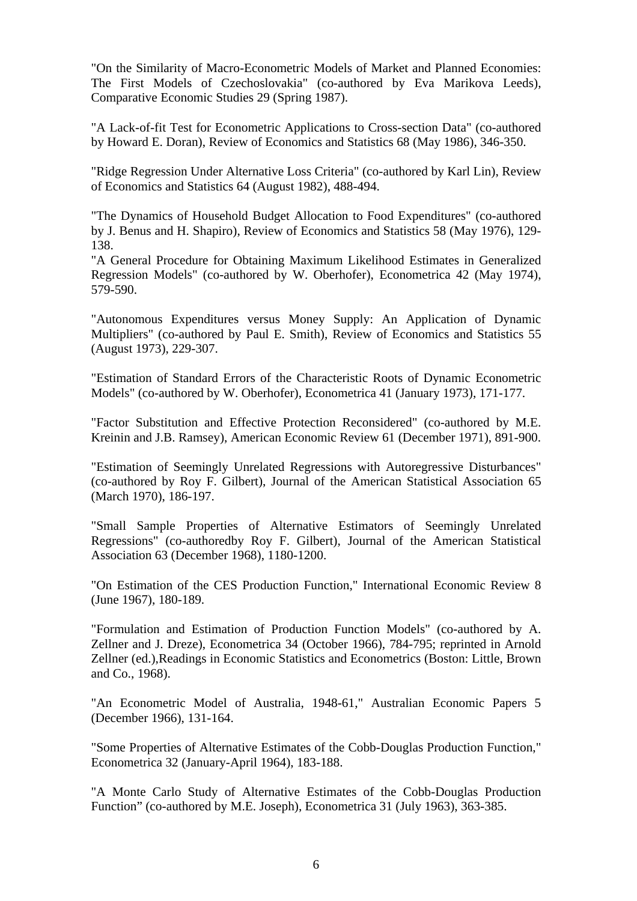"On the Similarity of Macro-Econometric Models of Market and Planned Economies: The First Models of Czechoslovakia" (co-authored by Eva Marikova Leeds), Comparative Economic Studies 29 (Spring 1987).

"A Lack-of-fit Test for Econometric Applications to Cross-section Data" (co-authored by Howard E. Doran), Review of Economics and Statistics 68 (May 1986), 346-350.

"Ridge Regression Under Alternative Loss Criteria" (co-authored by Karl Lin), Review of Economics and Statistics 64 (August 1982), 488-494.

"The Dynamics of Household Budget Allocation to Food Expenditures" (co-authored by J. Benus and H. Shapiro), Review of Economics and Statistics 58 (May 1976), 129- 138.

"A General Procedure for Obtaining Maximum Likelihood Estimates in Generalized Regression Models" (co-authored by W. Oberhofer), Econometrica 42 (May 1974), 579-590.

"Autonomous Expenditures versus Money Supply: An Application of Dynamic Multipliers" (co-authored by Paul E. Smith), Review of Economics and Statistics 55 (August 1973), 229-307.

"Estimation of Standard Errors of the Characteristic Roots of Dynamic Econometric Models" (co-authored by W. Oberhofer), Econometrica 41 (January 1973), 171-177.

"Factor Substitution and Effective Protection Reconsidered" (co-authored by M.E. Kreinin and J.B. Ramsey), American Economic Review 61 (December 1971), 891-900.

"Estimation of Seemingly Unrelated Regressions with Autoregressive Disturbances" (co-authored by Roy F. Gilbert), Journal of the American Statistical Association 65 (March 1970), 186-197.

"Small Sample Properties of Alternative Estimators of Seemingly Unrelated Regressions" (co-authoredby Roy F. Gilbert), Journal of the American Statistical Association 63 (December 1968), 1180-1200.

"On Estimation of the CES Production Function," International Economic Review 8 (June 1967), 180-189.

"Formulation and Estimation of Production Function Models" (co-authored by A. Zellner and J. Dreze), Econometrica 34 (October 1966), 784-795; reprinted in Arnold Zellner (ed.),Readings in Economic Statistics and Econometrics (Boston: Little, Brown and Co., 1968).

"An Econometric Model of Australia, 1948-61," Australian Economic Papers 5 (December 1966), 131-164.

"Some Properties of Alternative Estimates of the Cobb-Douglas Production Function," Econometrica 32 (January-April 1964), 183-188.

"A Monte Carlo Study of Alternative Estimates of the Cobb-Douglas Production Function" (co-authored by M.E. Joseph), Econometrica 31 (July 1963), 363-385.